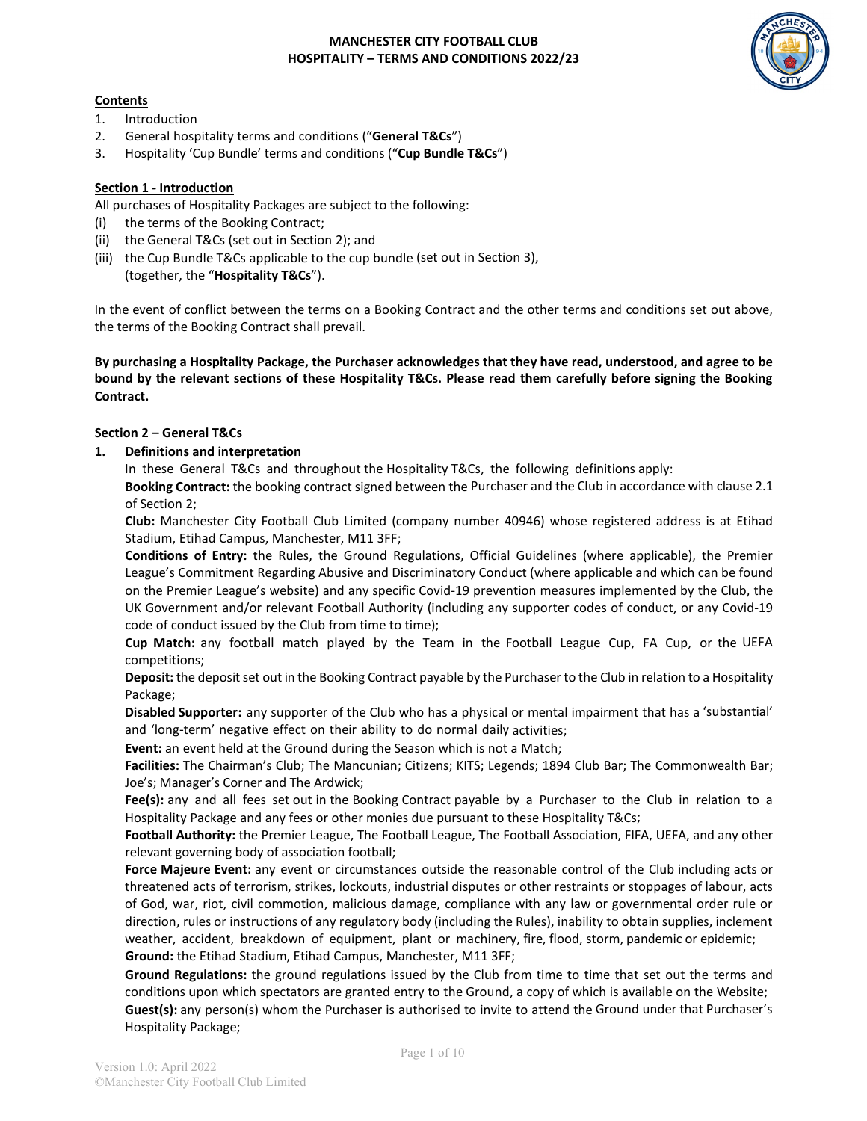# **Contents**

- 1. Introduction
- 2. General hospitality terms and conditions ("**General T&Cs**")
- 3. Hospitality 'Cup Bundle' terms and conditions ("**Cup Bundle T&Cs**")

## **Section 1 - Introduction**

All purchases of Hospitality Packages are subject to the following:

- (i) the terms of the Booking Contract;
- (ii) the General T&Cs (set out in Section 2); and
- (iii) the Cup Bundle T&Cs applicable to the cup bundle (set out in Section 3), (together, the "**Hospitality T&Cs**").

In the event of conflict between the terms on a Booking Contract and the other terms and conditions set out above, the terms of the Booking Contract shall prevail.

**By purchasing a Hospitality Package, the Purchaser acknowledges that they have read, understood, and agree to be bound by the relevant sections of these Hospitality T&Cs. Please read them carefully before signing the Booking Contract.** 

### **Section 2 – General T&Cs**

**1. Definitions and interpretation**

In these General T&Cs and throughout the Hospitality T&Cs, the following definitions apply:

**Booking Contract:** the booking contract signed between the Purchaser and the Club in accordance with clause 2.1 of Section 2;

**Club:** Manchester City Football Club Limited (company number 40946) whose registered address is at Etihad Stadium, Etihad Campus, Manchester, M11 3FF;

**Conditions of Entry:** the Rules, the Ground Regulations, Official Guidelines (where applicable), the Premier League's Commitment Regarding Abusive and Discriminatory Conduct (where applicable and which can be found on the Premier League's website) and any specific Covid-19 prevention measures implemented by the Club, the UK Government and/or relevant Football Authority (including any supporter codes of conduct, or any Covid-19 code of conduct issued by the Club from time to time);

**Cup Match:** any football match played by the Team in the Football League Cup, FA Cup, or the UEFA competitions;

**Deposit:** the deposit set out in the Booking Contract payable by the Purchaser to the Club in relation to a Hospitality Package;

**Disabled Supporter:** any supporter of the Club who has a physical or mental impairment that has a 'substantial' and 'long-term' negative effect on their ability to do normal daily activities;

**Event:** an event held at the Ground during the Season which is not a Match;

**Facilities:** The Chairman's Club; The Mancunian; Citizens; KITS; Legends; 1894 Club Bar; The Commonwealth Bar; Joe's; Manager's Corner and The Ardwick;

**Fee(s):** any and all fees set out in the Booking Contract payable by a Purchaser to the Club in relation to a Hospitality Package and any fees or other monies due pursuant to these Hospitality T&Cs;

**Football Authority:** the Premier League, The Football League, The Football Association, FIFA, UEFA, and any other relevant governing body of association football;

**Force Majeure Event:** any event or circumstances outside the reasonable control of the Club including acts or threatened acts of terrorism, strikes, lockouts, industrial disputes or other restraints or stoppages of labour, acts of God, war, riot, civil commotion, malicious damage, compliance with any law or governmental order rule or direction, rules or instructions of any regulatory body (including the Rules), inability to obtain supplies, inclement weather, accident, breakdown of equipment, plant or machinery, fire, flood, storm, pandemic or epidemic; **Ground:** the Etihad Stadium, Etihad Campus, Manchester, M11 3FF;

**Ground Regulations:** the ground regulations issued by the Club from time to time that set out the terms and conditions upon which spectators are granted entry to the Ground, a copy of which is available on the Website; **Guest(s):** any person(s) whom the Purchaser is authorised to invite to attend the Ground under that Purchaser's Hospitality Package;

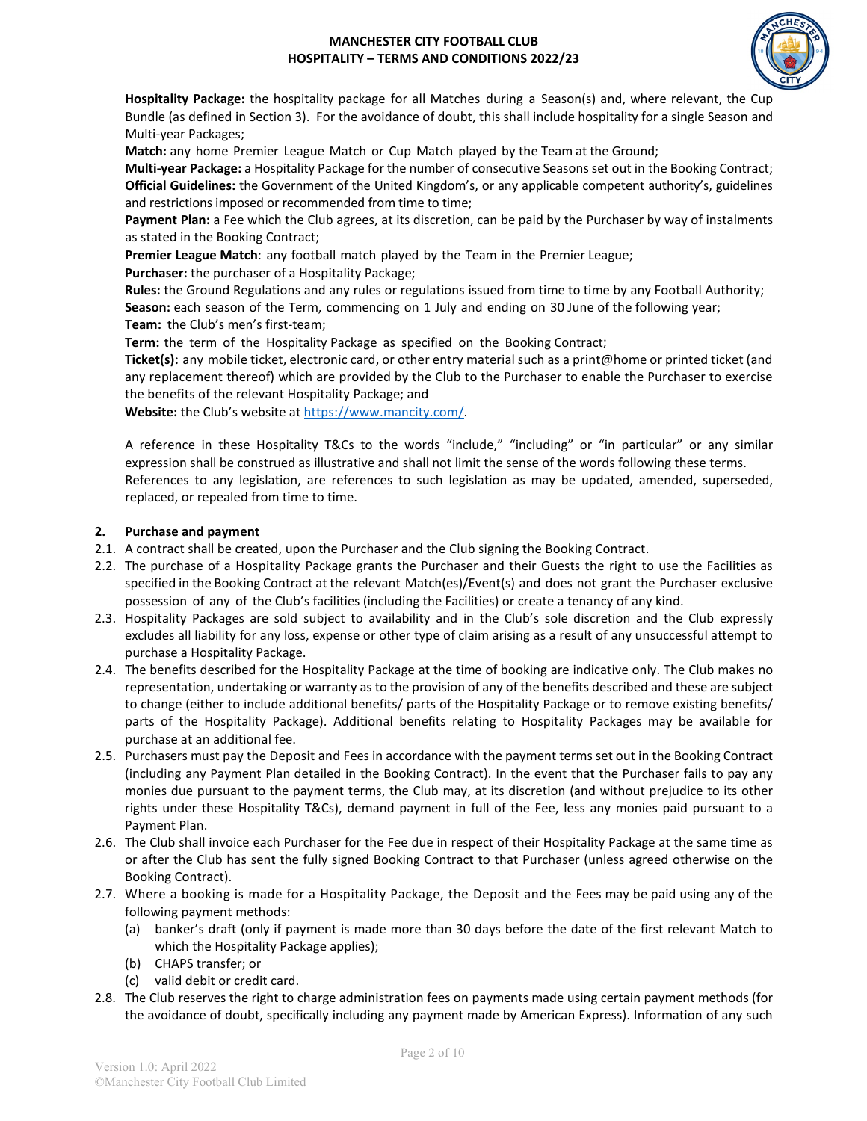

**Hospitality Package:** the hospitality package for all Matches during a Season(s) and, where relevant, the Cup Bundle (as defined in Section 3). For the avoidance of doubt, this shall include hospitality for a single Season and Multi-year Packages;

**Match:** any home Premier League Match or Cup Match played by the Team at the Ground;

**Multi-year Package:** a Hospitality Package for the number of consecutive Seasons set out in the Booking Contract; **Official Guidelines:** the Government of the United Kingdom's, or any applicable competent authority's, guidelines and restrictions imposed or recommended from time to time;

**Payment Plan:** a Fee which the Club agrees, at its discretion, can be paid by the Purchaser by way of instalments as stated in the Booking Contract;

**Premier League Match**: any football match played by the Team in the Premier League;

**Purchaser:** the purchaser of a Hospitality Package;

**Rules:** the Ground Regulations and any rules or regulations issued from time to time by any Football Authority; **Season:** each season of the Term, commencing on 1 July and ending on 30 June of the following year; **Team:** the Club's men's first-team;

**Term:** the term of the Hospitality Package as specified on the Booking Contract;

**Ticket(s):** any mobile ticket, electronic card, or other entry material such as a print@home or printed ticket (and any replacement thereof) which are provided by the Club to the Purchaser to enable the Purchaser to exercise the benefits of the relevant Hospitality Package; and

**Website:** the Club's website at [https://www.mancity.com/.](https://www.mancity.com/)

A reference in these Hospitality T&Cs to the words "include," "including" or "in particular" or any similar expression shall be construed as illustrative and shall not limit the sense of the words following these terms. References to any legislation, are references to such legislation as may be updated, amended, superseded, replaced, or repealed from time to time.

### **2. Purchase and payment**

- 2.1. A contract shall be created, upon the Purchaser and the Club signing the Booking Contract.
- 2.2. The purchase of a Hospitality Package grants the Purchaser and their Guests the right to use the Facilities as specified in the Booking Contract at the relevant Match(es)/Event(s) and does not grant the Purchaser exclusive possession of any of the Club's facilities (including the Facilities) or create a tenancy of any kind.
- 2.3. Hospitality Packages are sold subject to availability and in the Club's sole discretion and the Club expressly excludes all liability for any loss, expense or other type of claim arising as a result of any unsuccessful attempt to purchase a Hospitality Package.
- 2.4. The benefits described for the Hospitality Package at the time of booking are indicative only. The Club makes no representation, undertaking or warranty as to the provision of any of the benefits described and these are subject to change (either to include additional benefits/ parts of the Hospitality Package or to remove existing benefits/ parts of the Hospitality Package). Additional benefits relating to Hospitality Packages may be available for purchase at an additional fee.
- 2.5. Purchasers must pay the Deposit and Fees in accordance with the payment terms set out in the Booking Contract (including any Payment Plan detailed in the Booking Contract). In the event that the Purchaser fails to pay any monies due pursuant to the payment terms, the Club may, at its discretion (and without prejudice to its other rights under these Hospitality T&Cs), demand payment in full of the Fee, less any monies paid pursuant to a Payment Plan.
- 2.6. The Club shall invoice each Purchaser for the Fee due in respect of their Hospitality Package at the same time as or after the Club has sent the fully signed Booking Contract to that Purchaser (unless agreed otherwise on the Booking Contract).
- 2.7. Where a booking is made for a Hospitality Package, the Deposit and the Fees may be paid using any of the following payment methods:
	- (a) banker's draft (only if payment is made more than 30 days before the date of the first relevant Match to which the Hospitality Package applies);
	- (b) CHAPS transfer; or
	- (c) valid debit or credit card.
- 2.8. The Club reserves the right to charge administration fees on payments made using certain payment methods (for the avoidance of doubt, specifically including any payment made by American Express). Information of any such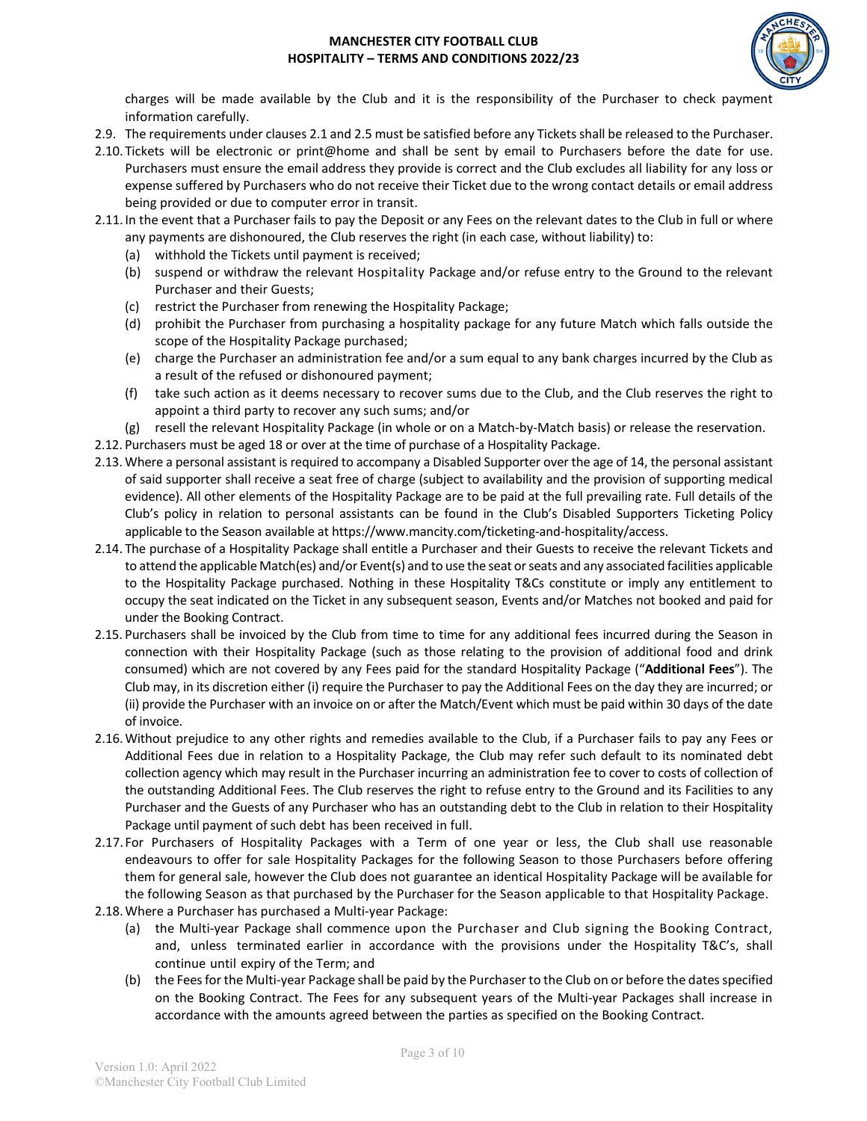

charges will be made available by the Club and it is the responsibility of the Purchaser to check payment information carefully.

- 2.9. The requirements under clauses 2.1 and 2.5 must be satisfied before any Tickets shall be released to the Purchaser.
- 2.10. Tickets will be electronic or print@home and shall be sent by email to Purchasers before the date for use. Purchasers must ensure the email address they provide is correct and the Club excludes all liability for any loss or expense suffered by Purchasers who do not receive their Ticket due to the wrong contact details or email address being provided or due to computer error in transit.
- 2.11.In the event that a Purchaser fails to pay the Deposit or any Fees on the relevant dates to the Club in full or where any payments are dishonoured, the Club reserves the right (in each case, without liability) to:
	- (a) withhold the Tickets until payment is received;
	- (b) suspend or withdraw the relevant Hospitality Package and/or refuse entry to the Ground to the relevant Purchaser and their Guests;
	- (c) restrict the Purchaser from renewing the Hospitality Package;
	- (d) prohibit the Purchaser from purchasing a hospitality package for any future Match which falls outside the scope of the Hospitality Package purchased;
	- (e) charge the Purchaser an administration fee and/or a sum equal to any bank charges incurred by the Club as a result of the refused or dishonoured payment;
	- (f) take such action as it deems necessary to recover sums due to the Club, and the Club reserves the right to appoint a third party to recover any such sums; and/or
	- (g) resell the relevant Hospitality Package (in whole or on a Match-by-Match basis) or release the reservation.

2.12. Purchasers must be aged 18 or over at the time of purchase of a Hospitality Package.

- 2.13. Where a personal assistant is required to accompany a Disabled Supporter over the age of 14, the personal assistant of said supporter shall receive a seat free of charge (subject to availability and the provision of supporting medical evidence). All other elements of the Hospitality Package are to be paid at the full prevailing rate. Full details of the Club's policy in relation to personal assistants can be found in the Club's Disabled Supporters Ticketing Policy applicable to the Season available at https://www.mancity.com/ticketing-and-hospitality/access.
- 2.14. The purchase of a Hospitality Package shall entitle a Purchaser and their Guests to receive the relevant Tickets and to attend the applicable Match(es) and/or Event(s) and to use the seat or seats and any associated facilities applicable to the Hospitality Package purchased. Nothing in these Hospitality T&Cs constitute or imply any entitlement to occupy the seat indicated on the Ticket in any subsequent season, Events and/or Matches not booked and paid for under the Booking Contract.
- 2.15. Purchasers shall be invoiced by the Club from time to time for any additional fees incurred during the Season in connection with their Hospitality Package (such as those relating to the provision of additional food and drink consumed) which are not covered by any Fees paid for the standard Hospitality Package ("**Additional Fees**"). The Club may, in its discretion either (i) require the Purchaser to pay the Additional Fees on the day they are incurred; or (ii) provide the Purchaser with an invoice on or after the Match/Event which must be paid within 30 days of the date of invoice.
- 2.16.Without prejudice to any other rights and remedies available to the Club, if a Purchaser fails to pay any Fees or Additional Fees due in relation to a Hospitality Package, the Club may refer such default to its nominated debt collection agency which may result in the Purchaser incurring an administration fee to cover to costs of collection of the outstanding Additional Fees. The Club reserves the right to refuse entry to the Ground and its Facilities to any Purchaser and the Guests of any Purchaser who has an outstanding debt to the Club in relation to their Hospitality Package until payment of such debt has been received in full.
- 2.17. For Purchasers of Hospitality Packages with a Term of one year or less, the Club shall use reasonable endeavours to offer for sale Hospitality Packages for the following Season to those Purchasers before offering them for general sale, however the Club does not guarantee an identical Hospitality Package will be available for the following Season as that purchased by the Purchaser for the Season applicable to that Hospitality Package.
- 2.18.Where a Purchaser has purchased a Multi-year Package:
	- (a) the Multi-year Package shall commence upon the Purchaser and Club signing the Booking Contract, and, unless terminated earlier in accordance with the provisions under the Hospitality T&C's, shall continue until expiry of the Term; and
	- (b) the Fees for the Multi-year Package shall be paid by the Purchaserto the Club on or before the dates specified on the Booking Contract. The Fees for any subsequent years of the Multi-year Packages shall increase in accordance with the amounts agreed between the parties as specified on the Booking Contract.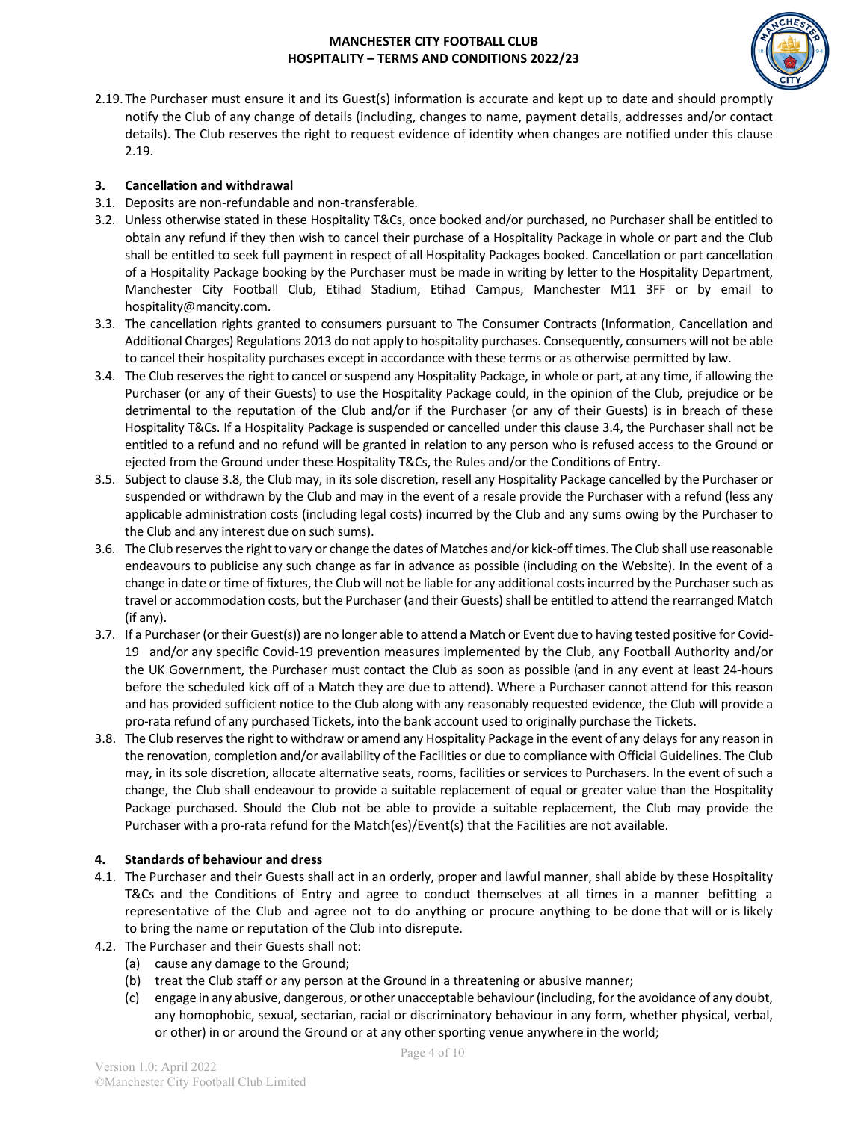

2.19.The Purchaser must ensure it and its Guest(s) information is accurate and kept up to date and should promptly notify the Club of any change of details (including, changes to name, payment details, addresses and/or contact details). The Club reserves the right to request evidence of identity when changes are notified under this clause 2.19.

## **3. Cancellation and withdrawal**

- 3.1. Deposits are non-refundable and non-transferable.
- 3.2. Unless otherwise stated in these Hospitality T&Cs, once booked and/or purchased, no Purchaser shall be entitled to obtain any refund if they then wish to cancel their purchase of a Hospitality Package in whole or part and the Club shall be entitled to seek full payment in respect of all Hospitality Packages booked. Cancellation or part cancellation of a Hospitality Package booking by the Purchaser must be made in writing by letter to the Hospitality Department, Manchester City Football Club, Etihad Stadium, Etihad Campus, Manchester M11 3FF or by email to hospitality@mancity.com.
- 3.3. The cancellation rights granted to consumers pursuant to The Consumer Contracts (Information, Cancellation and Additional Charges) Regulations 2013 do not apply to hospitality purchases. Consequently, consumers will not be able to cancel their hospitality purchases except in accordance with these terms or as otherwise permitted by law.
- 3.4. The Club reserves the right to cancel or suspend any Hospitality Package, in whole or part, at any time, if allowing the Purchaser (or any of their Guests) to use the Hospitality Package could, in the opinion of the Club, prejudice or be detrimental to the reputation of the Club and/or if the Purchaser (or any of their Guests) is in breach of these Hospitality T&Cs. If a Hospitality Package is suspended or cancelled under this clause 3.4, the Purchaser shall not be entitled to a refund and no refund will be granted in relation to any person who is refused access to the Ground or ejected from the Ground under these Hospitality T&Cs, the Rules and/or the Conditions of Entry.
- 3.5. Subject to clause 3.8, the Club may, in its sole discretion, resell any Hospitality Package cancelled by the Purchaser or suspended or withdrawn by the Club and may in the event of a resale provide the Purchaser with a refund (less any applicable administration costs (including legal costs) incurred by the Club and any sums owing by the Purchaser to the Club and any interest due on such sums).
- 3.6. The Club reserves the right to vary or change the dates of Matches and/or kick-off times. The Club shall use reasonable endeavours to publicise any such change as far in advance as possible (including on the Website). In the event of a change in date or time of fixtures, the Club will not be liable for any additional costs incurred by the Purchaser such as travel or accommodation costs, but the Purchaser (and their Guests) shall be entitled to attend the rearranged Match (if any).
- 3.7. If a Purchaser (or their Guest(s)) are no longer able to attend a Match or Event due to having tested positive for Covid-19 and/or any specific Covid-19 prevention measures implemented by the Club, any Football Authority and/or the UK Government, the Purchaser must contact the Club as soon as possible (and in any event at least 24-hours before the scheduled kick off of a Match they are due to attend). Where a Purchaser cannot attend for this reason and has provided sufficient notice to the Club along with any reasonably requested evidence, the Club will provide a pro-rata refund of any purchased Tickets, into the bank account used to originally purchase the Tickets.
- 3.8. The Club reserves the right to withdraw or amend any Hospitality Package in the event of any delays for any reason in the renovation, completion and/or availability of the Facilities or due to compliance with Official Guidelines. The Club may, in its sole discretion, allocate alternative seats, rooms, facilities or services to Purchasers. In the event of such a change, the Club shall endeavour to provide a suitable replacement of equal or greater value than the Hospitality Package purchased. Should the Club not be able to provide a suitable replacement, the Club may provide the Purchaser with a pro-rata refund for the Match(es)/Event(s) that the Facilities are not available.

# **4. Standards of behaviour and dress**

- 4.1. The Purchaser and their Guests shall act in an orderly, proper and lawful manner, shall abide by these Hospitality T&Cs and the Conditions of Entry and agree to conduct themselves at all times in a manner befitting a representative of the Club and agree not to do anything or procure anything to be done that will or is likely to bring the name or reputation of the Club into disrepute.
- 4.2. The Purchaser and their Guests shall not:
	- (a) cause any damage to the Ground;
	- (b) treat the Club staff or any person at the Ground in a threatening or abusive manner;
	- (c) engage in any abusive, dangerous, or other unacceptable behaviour (including, for the avoidance of any doubt, any homophobic, sexual, sectarian, racial or discriminatory behaviour in any form, whether physical, verbal, or other) in or around the Ground or at any other sporting venue anywhere in the world;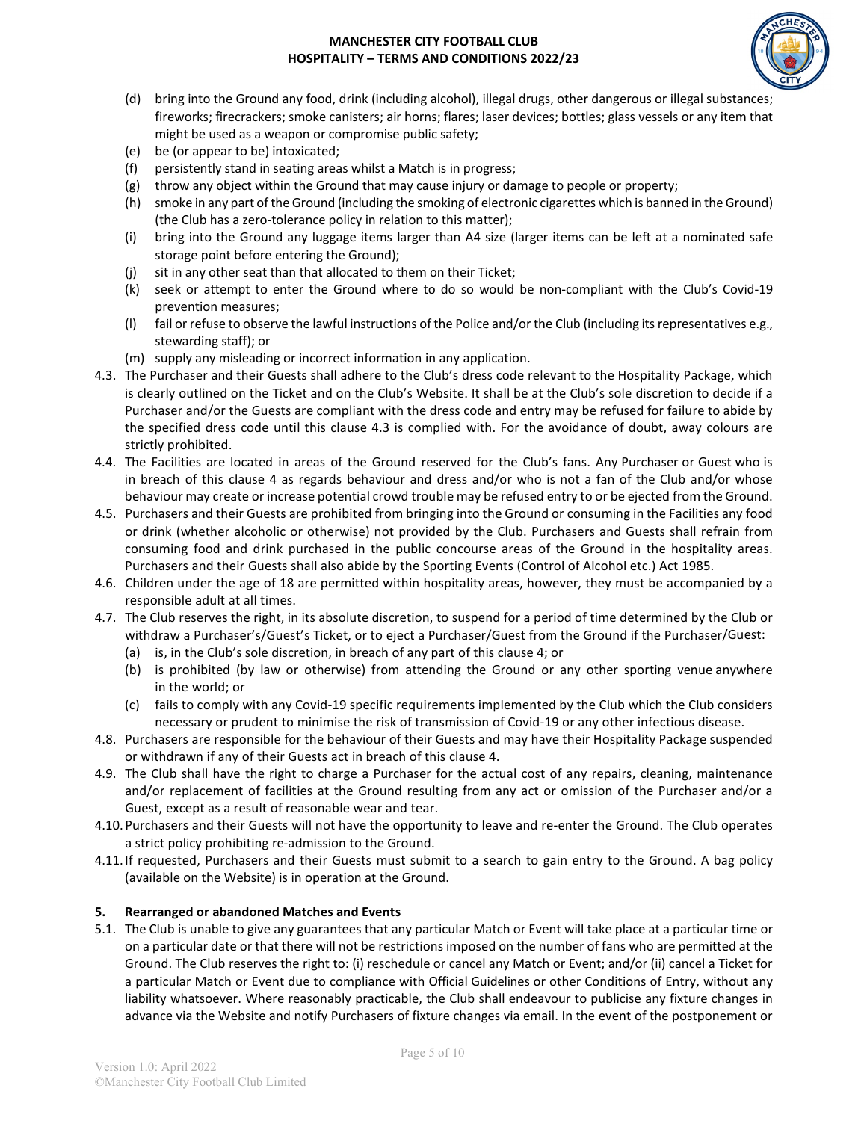

- (d) bring into the Ground any food, drink (including alcohol), illegal drugs, other dangerous or illegal substances; fireworks; firecrackers; smoke canisters; air horns; flares; laser devices; bottles; glass vessels or any item that might be used as a weapon or compromise public safety;
- (e) be (or appear to be) intoxicated;
- (f) persistently stand in seating areas whilst a Match is in progress;
- (g) throw any object within the Ground that may cause injury or damage to people or property;
- (h) smoke in any part of the Ground (including the smoking of electronic cigarettes which is banned in the Ground) (the Club has a zero-tolerance policy in relation to this matter);
- (i) bring into the Ground any luggage items larger than A4 size (larger items can be left at a nominated safe storage point before entering the Ground);
- (j) sit in any other seat than that allocated to them on their Ticket;
- (k) seek or attempt to enter the Ground where to do so would be non-compliant with the Club's Covid-19 prevention measures;
- (l) fail or refuse to observe the lawful instructions of the Police and/or the Club (including its representatives e.g., stewarding staff); or
- (m) supply any misleading or incorrect information in any application.
- 4.3. The Purchaser and their Guests shall adhere to the Club's dress code relevant to the Hospitality Package, which is clearly outlined on the Ticket and on the Club's Website. It shall be at the Club's sole discretion to decide if a Purchaser and/or the Guests are compliant with the dress code and entry may be refused for failure to abide by the specified dress code until this clause 4.3 is complied with. For the avoidance of doubt, away colours are strictly prohibited.
- 4.4. The Facilities are located in areas of the Ground reserved for the Club's fans. Any Purchaser or Guest who is in breach of this clause 4 as regards behaviour and dress and/or who is not a fan of the Club and/or whose behaviour may create or increase potential crowd trouble may be refused entry to or be ejected from the Ground.
- 4.5. Purchasers and their Guests are prohibited from bringing into the Ground or consuming in the Facilities any food or drink (whether alcoholic or otherwise) not provided by the Club. Purchasers and Guests shall refrain from consuming food and drink purchased in the public concourse areas of the Ground in the hospitality areas. Purchasers and their Guests shall also abide by the Sporting Events (Control of Alcohol etc.) Act 1985.
- 4.6. Children under the age of 18 are permitted within hospitality areas, however, they must be accompanied by a responsible adult at all times.
- 4.7. The Club reserves the right, in its absolute discretion, to suspend for a period of time determined by the Club or withdraw a Purchaser's/Guest's Ticket, or to eject a Purchaser/Guest from the Ground if the Purchaser/Guest:
	- (a) is, in the Club's sole discretion, in breach of any part of this clause 4; or
	- (b) is prohibited (by law or otherwise) from attending the Ground or any other sporting venue anywhere in the world; or
	- (c) fails to comply with any Covid-19 specific requirements implemented by the Club which the Club considers necessary or prudent to minimise the risk of transmission of Covid-19 or any other infectious disease.
- 4.8. Purchasers are responsible for the behaviour of their Guests and may have their Hospitality Package suspended or withdrawn if any of their Guests act in breach of this clause 4.
- 4.9. The Club shall have the right to charge a Purchaser for the actual cost of any repairs, cleaning, maintenance and/or replacement of facilities at the Ground resulting from any act or omission of the Purchaser and/or a Guest, except as a result of reasonable wear and tear.
- 4.10.Purchasers and their Guests will not have the opportunity to leave and re-enter the Ground. The Club operates a strict policy prohibiting re-admission to the Ground.
- 4.11.If requested, Purchasers and their Guests must submit to a search to gain entry to the Ground. A bag policy (available on the Website) is in operation at the Ground.

# **5. Rearranged or abandoned Matches and Events**

5.1. The Club is unable to give any guarantees that any particular Match or Event will take place at a particular time or on a particular date or that there will not be restrictions imposed on the number of fans who are permitted at the Ground. The Club reserves the right to: (i) reschedule or cancel any Match or Event; and/or (ii) cancel a Ticket for a particular Match or Event due to compliance with Official Guidelines or other Conditions of Entry, without any liability whatsoever. Where reasonably practicable, the Club shall endeavour to publicise any fixture changes in advance via the Website and notify Purchasers of fixture changes via email. In the event of the postponement or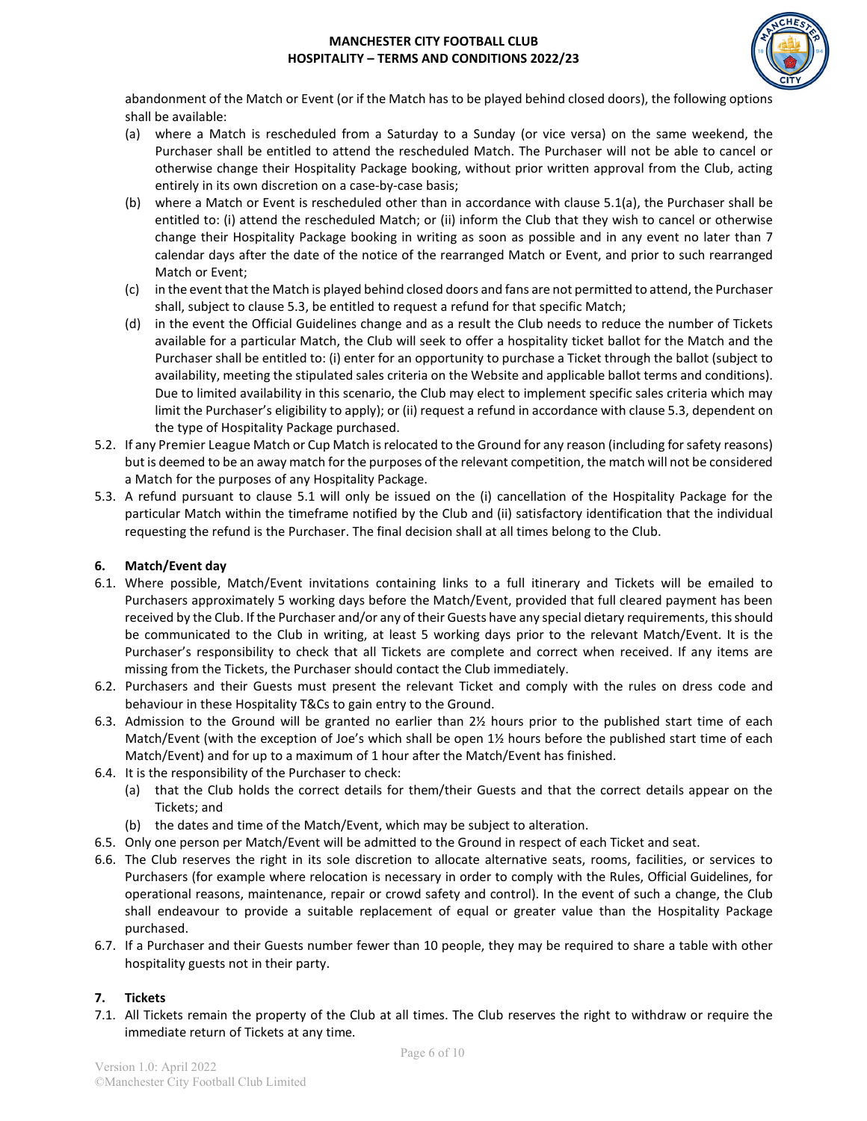

abandonment of the Match or Event (or if the Match has to be played behind closed doors), the following options shall be available:

- (a) where a Match is rescheduled from a Saturday to a Sunday (or vice versa) on the same weekend, the Purchaser shall be entitled to attend the rescheduled Match. The Purchaser will not be able to cancel or otherwise change their Hospitality Package booking, without prior written approval from the Club, acting entirely in its own discretion on a case-by-case basis;
- (b) where a Match or Event is rescheduled other than in accordance with clause 5.1(a), the Purchaser shall be entitled to: (i) attend the rescheduled Match; or (ii) inform the Club that they wish to cancel or otherwise change their Hospitality Package booking in writing as soon as possible and in any event no later than 7 calendar days after the date of the notice of the rearranged Match or Event, and prior to such rearranged Match or Event;
- (c) in the event that the Match is played behind closed doors and fans are not permitted to attend, the Purchaser shall, subject to clause 5.3, be entitled to request a refund for that specific Match;
- (d) in the event the Official Guidelines change and as a result the Club needs to reduce the number of Tickets available for a particular Match, the Club will seek to offer a hospitality ticket ballot for the Match and the Purchaser shall be entitled to: (i) enter for an opportunity to purchase a Ticket through the ballot (subject to availability, meeting the stipulated sales criteria on the Website and applicable ballot terms and conditions). Due to limited availability in this scenario, the Club may elect to implement specific sales criteria which may limit the Purchaser's eligibility to apply); or (ii) request a refund in accordance with clause 5.3, dependent on the type of Hospitality Package purchased.
- 5.2. If any Premier League Match or Cup Match is relocated to the Ground for any reason (including forsafety reasons) but is deemed to be an away match for the purposes of the relevant competition, the match will not be considered a Match for the purposes of any Hospitality Package.
- 5.3. A refund pursuant to clause 5.1 will only be issued on the (i) cancellation of the Hospitality Package for the particular Match within the timeframe notified by the Club and (ii) satisfactory identification that the individual requesting the refund is the Purchaser. The final decision shall at all times belong to the Club.

## **6. Match/Event day**

- 6.1. Where possible, Match/Event invitations containing links to a full itinerary and Tickets will be emailed to Purchasers approximately 5 working days before the Match/Event, provided that full cleared payment has been received by the Club. Ifthe Purchaser and/or any of their Guests have any special dietary requirements, this should be communicated to the Club in writing, at least 5 working days prior to the relevant Match/Event. It is the Purchaser's responsibility to check that all Tickets are complete and correct when received. If any items are missing from the Tickets, the Purchaser should contact the Club immediately.
- 6.2. Purchasers and their Guests must present the relevant Ticket and comply with the rules on dress code and behaviour in these Hospitality T&Cs to gain entry to the Ground.
- 6.3. Admission to the Ground will be granted no earlier than 2½ hours prior to the published start time of each Match/Event (with the exception of Joe's which shall be open 1½ hours before the published start time of each Match/Event) and for up to a maximum of 1 hour after the Match/Event has finished.
- 6.4. It is the responsibility of the Purchaser to check:
	- (a) that the Club holds the correct details for them/their Guests and that the correct details appear on the Tickets; and
	- (b) the dates and time of the Match/Event, which may be subject to alteration.
- 6.5. Only one person per Match/Event will be admitted to the Ground in respect of each Ticket and seat.
- 6.6. The Club reserves the right in its sole discretion to allocate alternative seats, rooms, facilities, or services to Purchasers (for example where relocation is necessary in order to comply with the Rules, Official Guidelines, for operational reasons, maintenance, repair or crowd safety and control). In the event of such a change, the Club shall endeavour to provide a suitable replacement of equal or greater value than the Hospitality Package purchased.
- 6.7. If a Purchaser and their Guests number fewer than 10 people, they may be required to share a table with other hospitality guests not in their party.

# **7. Tickets**

7.1. All Tickets remain the property of the Club at all times. The Club reserves the right to withdraw or require the immediate return of Tickets at any time.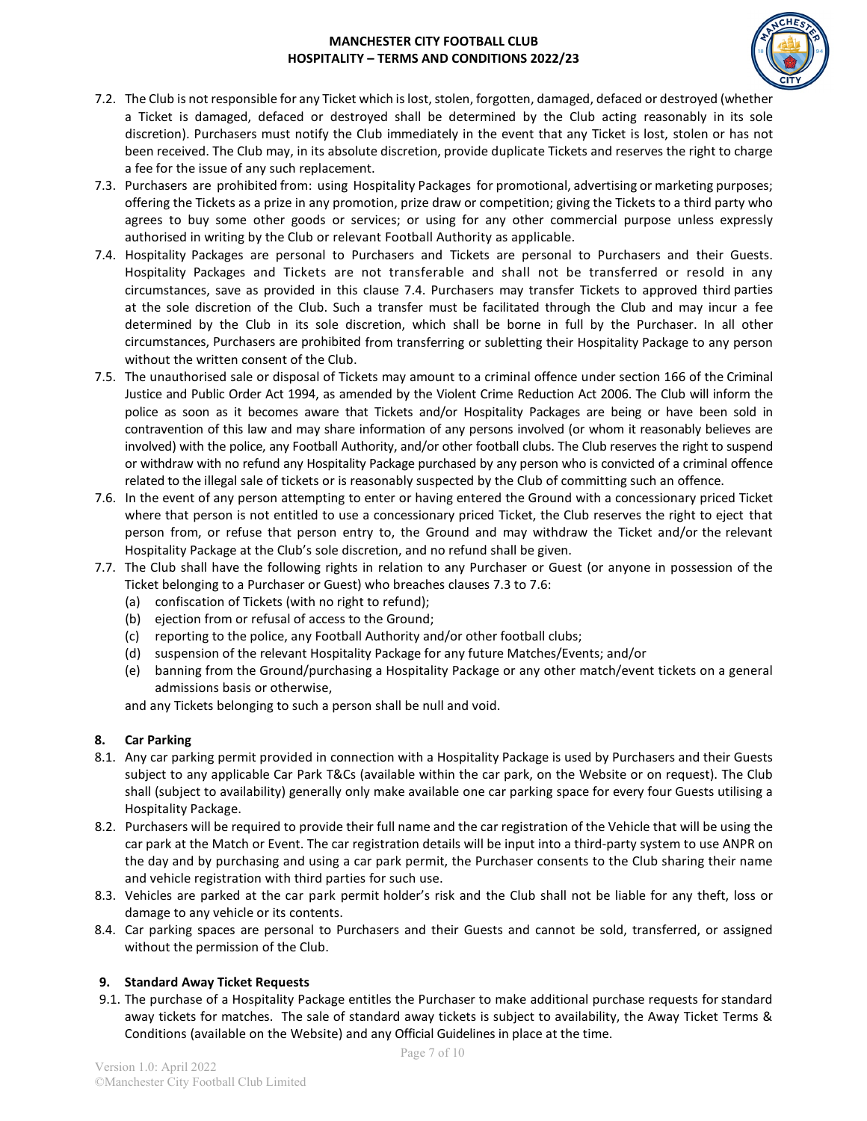

- 7.2. The Club is not responsible for any Ticket which is lost, stolen, forgotten, damaged, defaced or destroyed (whether a Ticket is damaged, defaced or destroyed shall be determined by the Club acting reasonably in its sole discretion). Purchasers must notify the Club immediately in the event that any Ticket is lost, stolen or has not been received. The Club may, in its absolute discretion, provide duplicate Tickets and reserves the right to charge a fee for the issue of any such replacement.
- 7.3. Purchasers are prohibited from: using Hospitality Packages for promotional, advertising or marketing purposes; offering the Tickets as a prize in any promotion, prize draw or competition; giving the Tickets to a third party who agrees to buy some other goods or services; or using for any other commercial purpose unless expressly authorised in writing by the Club or relevant Football Authority as applicable.
- 7.4. Hospitality Packages are personal to Purchasers and Tickets are personal to Purchasers and their Guests. Hospitality Packages and Tickets are not transferable and shall not be transferred or resold in any circumstances, save as provided in this clause 7.4. Purchasers may transfer Tickets to approved third parties at the sole discretion of the Club. Such a transfer must be facilitated through the Club and may incur a fee determined by the Club in its sole discretion, which shall be borne in full by the Purchaser. In all other circumstances, Purchasers are prohibited from transferring or subletting their Hospitality Package to any person without the written consent of the Club.
- 7.5. The unauthorised sale or disposal of Tickets may amount to a criminal offence under section 166 of the Criminal Justice and Public Order Act 1994, as amended by the Violent Crime Reduction Act 2006. The Club will inform the police as soon as it becomes aware that Tickets and/or Hospitality Packages are being or have been sold in contravention of this law and may share information of any persons involved (or whom it reasonably believes are involved) with the police, any Football Authority, and/or other football clubs. The Club reserves the right to suspend or withdraw with no refund any Hospitality Package purchased by any person who is convicted of a criminal offence related to the illegal sale of tickets or is reasonably suspected by the Club of committing such an offence.
- 7.6. In the event of any person attempting to enter or having entered the Ground with a concessionary priced Ticket where that person is not entitled to use a concessionary priced Ticket, the Club reserves the right to eject that person from, or refuse that person entry to, the Ground and may withdraw the Ticket and/or the relevant Hospitality Package at the Club's sole discretion, and no refund shall be given.
- 7.7. The Club shall have the following rights in relation to any Purchaser or Guest (or anyone in possession of the Ticket belonging to a Purchaser or Guest) who breaches clauses 7.3 to 7.6:
	- (a) confiscation of Tickets (with no right to refund);
	- (b) ejection from or refusal of access to the Ground;
	- (c) reporting to the police, any Football Authority and/or other football clubs;
	- (d) suspension of the relevant Hospitality Package for any future Matches/Events; and/or
	- (e) banning from the Ground/purchasing a Hospitality Package or any other match/event tickets on a general admissions basis or otherwise,

and any Tickets belonging to such a person shall be null and void.

### **8. Car Parking**

- 8.1. Any car parking permit provided in connection with a Hospitality Package is used by Purchasers and their Guests subject to any applicable Car Park T&Cs (available within the car park, on the Website or on request). The Club shall (subject to availability) generally only make available one car parking space for every four Guests utilising a Hospitality Package.
- 8.2. Purchasers will be required to provide their full name and the car registration of the Vehicle that will be using the car park at the Match or Event. The car registration details will be input into a third-party system to use ANPR on the day and by purchasing and using a car park permit, the Purchaser consents to the Club sharing their name and vehicle registration with third parties for such use.
- 8.3. Vehicles are parked at the car park permit holder's risk and the Club shall not be liable for any theft, loss or damage to any vehicle or its contents.
- 8.4. Car parking spaces are personal to Purchasers and their Guests and cannot be sold, transferred, or assigned without the permission of the Club.

# **9. Standard Away Ticket Requests**

9.1. The purchase of a Hospitality Package entitles the Purchaser to make additional purchase requests for standard away tickets for matches. The sale of standard away tickets is subject to availability, the Away Ticket Terms & Conditions (available on the Website) and any Official Guidelines in place at the time.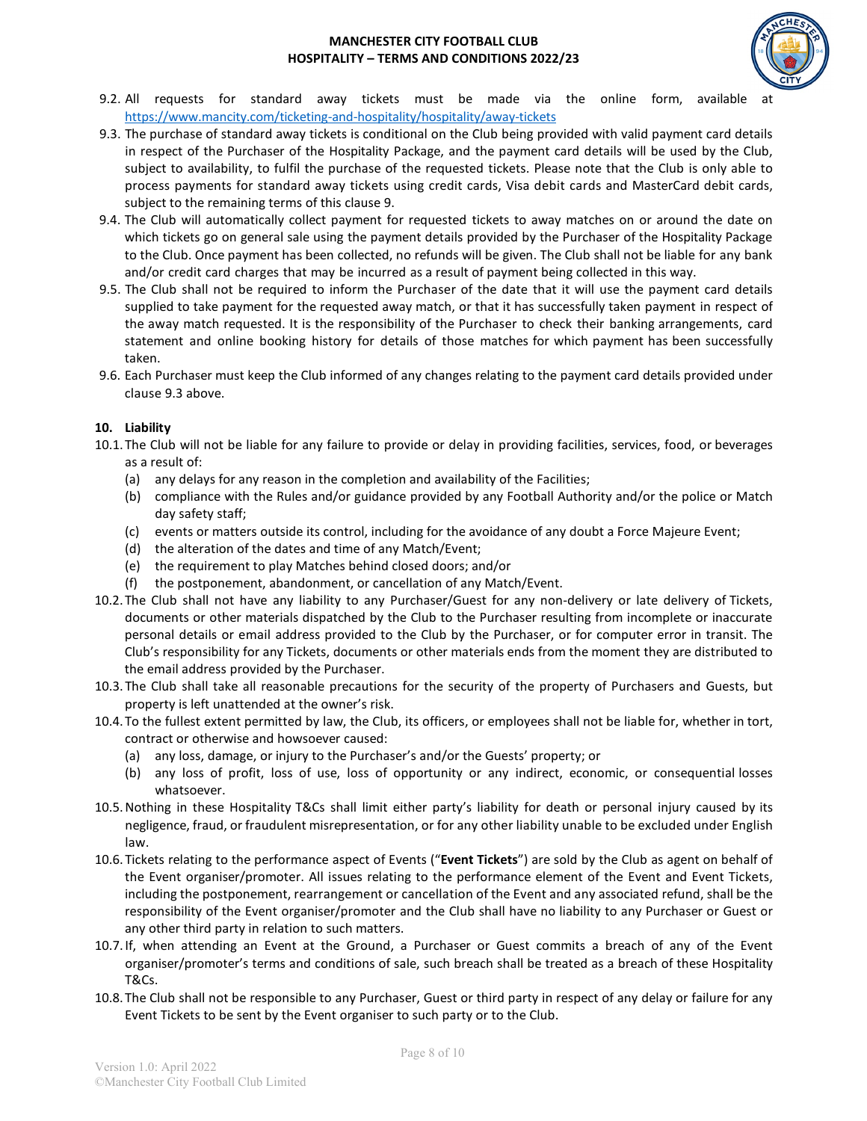

- 9.2. All requests for standard away tickets must be made via the online form, available at <https://www.mancity.com/ticketing-and-hospitality/hospitality/away-tickets>
- 9.3. The purchase of standard away tickets is conditional on the Club being provided with valid payment card details in respect of the Purchaser of the Hospitality Package, and the payment card details will be used by the Club, subject to availability, to fulfil the purchase of the requested tickets. Please note that the Club is only able to process payments for standard away tickets using credit cards, Visa debit cards and MasterCard debit cards, subject to the remaining terms of this clause 9.
- 9.4. The Club will automatically collect payment for requested tickets to away matches on or around the date on which tickets go on general sale using the payment details provided by the Purchaser of the Hospitality Package to the Club. Once payment has been collected, no refunds will be given. The Club shall not be liable for any bank and/or credit card charges that may be incurred as a result of payment being collected in this way.
- 9.5. The Club shall not be required to inform the Purchaser of the date that it will use the payment card details supplied to take payment for the requested away match, or that it has successfully taken payment in respect of the away match requested. It is the responsibility of the Purchaser to check their banking arrangements, card statement and online booking history for details of those matches for which payment has been successfully taken.
- 9.6. Each Purchaser must keep the Club informed of any changes relating to the payment card details provided under clause 9.3 above.

## **10. Liability**

- 10.1.The Club will not be liable for any failure to provide or delay in providing facilities, services, food, or beverages as a result of:
	- (a) any delays for any reason in the completion and availability of the Facilities;
	- (b) compliance with the Rules and/or guidance provided by any Football Authority and/or the police or Match day safety staff;
	- (c) events or matters outside its control, including for the avoidance of any doubt a Force Majeure Event;
	- (d) the alteration of the dates and time of any Match/Event;
	- (e) the requirement to play Matches behind closed doors; and/or
	- (f) the postponement, abandonment, or cancellation of any Match/Event.
- 10.2.The Club shall not have any liability to any Purchaser/Guest for any non-delivery or late delivery of Tickets, documents or other materials dispatched by the Club to the Purchaser resulting from incomplete or inaccurate personal details or email address provided to the Club by the Purchaser, or for computer error in transit. The Club's responsibility for any Tickets, documents or other materials ends from the moment they are distributed to the email address provided by the Purchaser.
- 10.3.The Club shall take all reasonable precautions for the security of the property of Purchasers and Guests, but property is left unattended at the owner's risk.
- 10.4.To the fullest extent permitted by law, the Club, its officers, or employees shall not be liable for, whether in tort, contract or otherwise and howsoever caused:
	- (a) any loss, damage, or injury to the Purchaser's and/or the Guests' property; or
	- (b) any loss of profit, loss of use, loss of opportunity or any indirect, economic, or consequential losses whatsoever.
- 10.5.Nothing in these Hospitality T&Cs shall limit either party's liability for death or personal injury caused by its negligence, fraud, or fraudulent misrepresentation, or for any other liability unable to be excluded under English law.
- 10.6.Tickets relating to the performance aspect of Events ("**Event Tickets**") are sold by the Club as agent on behalf of the Event organiser/promoter. All issues relating to the performance element of the Event and Event Tickets, including the postponement, rearrangement or cancellation of the Event and any associated refund, shall be the responsibility of the Event organiser/promoter and the Club shall have no liability to any Purchaser or Guest or any other third party in relation to such matters.
- 10.7.If, when attending an Event at the Ground, a Purchaser or Guest commits a breach of any of the Event organiser/promoter's terms and conditions of sale, such breach shall be treated as a breach of these Hospitality T&Cs.
- 10.8.The Club shall not be responsible to any Purchaser, Guest or third party in respect of any delay or failure for any Event Tickets to be sent by the Event organiser to such party or to the Club.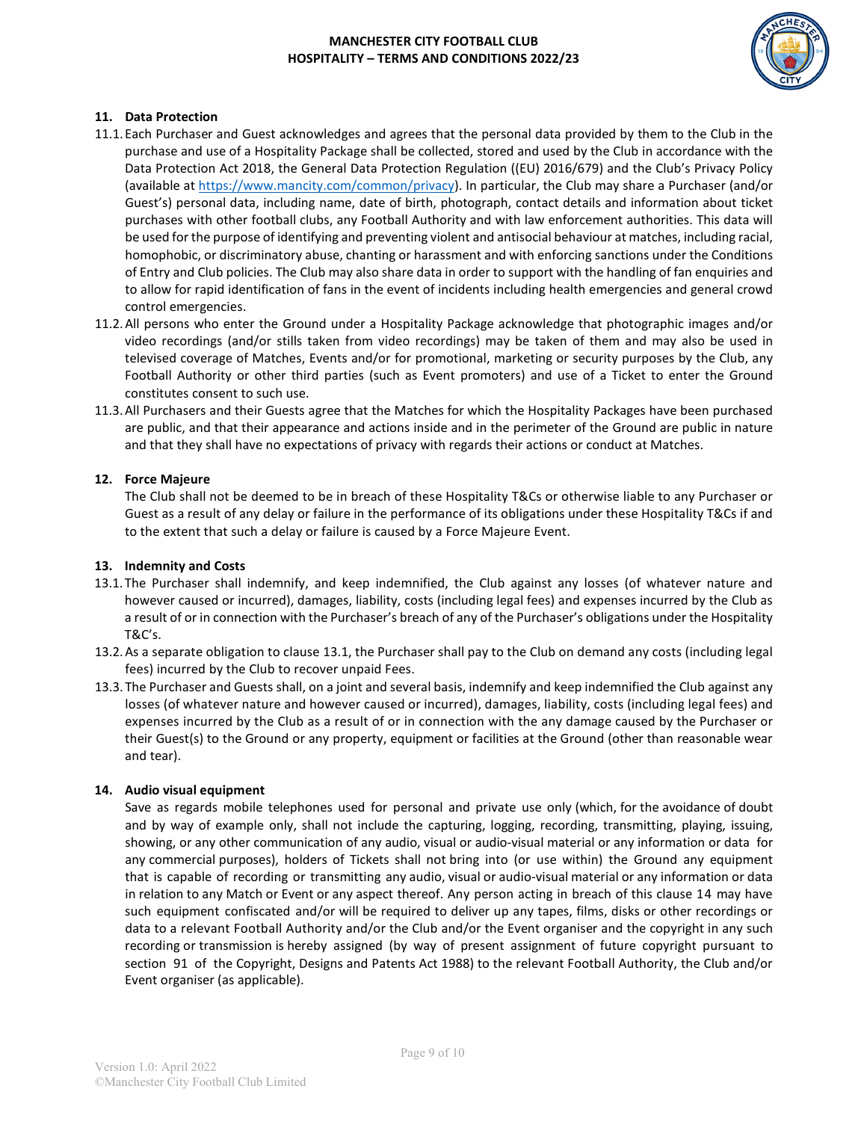

### **11. Data Protection**

- 11.1.Each Purchaser and Guest acknowledges and agrees that the personal data provided by them to the Club in the purchase and use of a Hospitality Package shall be collected, stored and used by the Club in accordance with the Data Protection Act 2018, the General Data Protection Regulation ((EU) 2016/679) and the Club's Privacy Policy (available at [https://www.mancity.com/common/privacy\)](https://www.mancity.com/common/privacy). In particular, the Club may share a Purchaser (and/or Guest's) personal data, including name, date of birth, photograph, contact details and information about ticket purchases with other football clubs, any Football Authority and with law enforcement authorities. This data will be used for the purpose of identifying and preventing violent and antisocial behaviour at matches, including racial, homophobic, or discriminatory abuse, chanting or harassment and with enforcing sanctions under the Conditions of Entry and Club policies. The Club may also share data in order to support with the handling of fan enquiries and to allow for rapid identification of fans in the event of incidents including health emergencies and general crowd control emergencies.
- 11.2.All persons who enter the Ground under a Hospitality Package acknowledge that photographic images and/or video recordings (and/or stills taken from video recordings) may be taken of them and may also be used in televised coverage of Matches, Events and/or for promotional, marketing or security purposes by the Club, any Football Authority or other third parties (such as Event promoters) and use of a Ticket to enter the Ground constitutes consent to such use.
- 11.3.All Purchasers and their Guests agree that the Matches for which the Hospitality Packages have been purchased are public, and that their appearance and actions inside and in the perimeter of the Ground are public in nature and that they shall have no expectations of privacy with regards their actions or conduct at Matches.

## **12. Force Majeure**

The Club shall not be deemed to be in breach of these Hospitality T&Cs or otherwise liable to any Purchaser or Guest as a result of any delay or failure in the performance of its obligations under these Hospitality T&Cs if and to the extent that such a delay or failure is caused by a Force Majeure Event.

### **13. Indemnity and Costs**

- 13.1.The Purchaser shall indemnify, and keep indemnified, the Club against any losses (of whatever nature and however caused or incurred), damages, liability, costs (including legal fees) and expenses incurred by the Club as a result of or in connection with the Purchaser's breach of any of the Purchaser's obligations under the Hospitality T&C's.
- 13.2.As a separate obligation to clause 13.1, the Purchaser shall pay to the Club on demand any costs (including legal fees) incurred by the Club to recover unpaid Fees.
- 13.3.The Purchaser and Guests shall, on a joint and several basis, indemnify and keep indemnified the Club against any losses (of whatever nature and however caused or incurred), damages, liability, costs (including legal fees) and expenses incurred by the Club as a result of or in connection with the any damage caused by the Purchaser or their Guest(s) to the Ground or any property, equipment or facilities at the Ground (other than reasonable wear and tear).

### **14. Audio visual equipment**

Save as regards mobile telephones used for personal and private use only (which, for the avoidance of doubt and by way of example only, shall not include the capturing, logging, recording, transmitting, playing, issuing, showing, or any other communication of any audio, visual or audio-visual material or any information or data for any commercial purposes), holders of Tickets shall not bring into (or use within) the Ground any equipment that is capable of recording or transmitting any audio, visual or audio-visual material or any information or data in relation to any Match or Event or any aspect thereof. Any person acting in breach of this clause 14 may have such equipment confiscated and/or will be required to deliver up any tapes, films, disks or other recordings or data to a relevant Football Authority and/or the Club and/or the Event organiser and the copyright in any such recording or transmission is hereby assigned (by way of present assignment of future copyright pursuant to section 91 of the Copyright, Designs and Patents Act 1988) to the relevant Football Authority, the Club and/or Event organiser (as applicable).